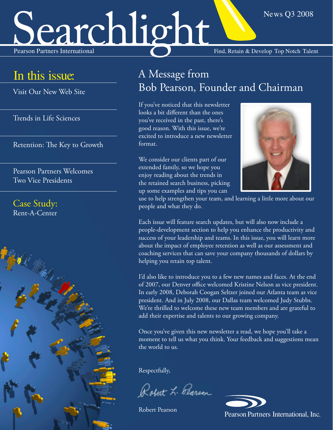# Searchlight Pearson Partners International **Find, Retain & Develop Top Notch Talent**

### In this issue:

Visit Our New Web Site

Trends in Life Sciences

Retention: The Key to Growth

Pearson Partners Welcomes Two Vice Presidents

Case Study: Rent-A-Center



### A Message from Bob Pearson, Founder and Chairman

If you've noticed that this newsletter looks a bit different than the ones you've received in the past, there's good reason. With this issue, we're excited to introduce a new newsletter format.

We consider our clients part of our extended family, so we hope you enjoy reading about the trends in the retained search business, picking up some examples and tips you can



News Q3 2008

use to help strengthen your team, and learning a little more about our people and what they do.

Each issue will feature search updates, but will also now include a people-development section to help you enhance the productivity and success of your leadership and teams. In this issue, you will learn more about the impact of employee retention as well as our assessment and coaching services that can save your company thousands of dollars by helping you retain top talent.

I'd also like to introduce you to a few new names and faces. At the end of 2007, our Denver office welcomed Kristine Nelson as vice president. In early 2008, Deborah Coogan Seltzer joined our Atlanta team as vice president. And in July 2008, our Dallas team welcomed Judy Stubbs. We're thrilled to welcome these new team members and are grateful to add their expertise and talents to our growing company.

Once you've given this new newsletter a read, we hope you'll take a moment to tell us what you think. Your feedback and suggestions mean the world to us.

Respectfully,

Robert L. Pearson

Robert Pearson

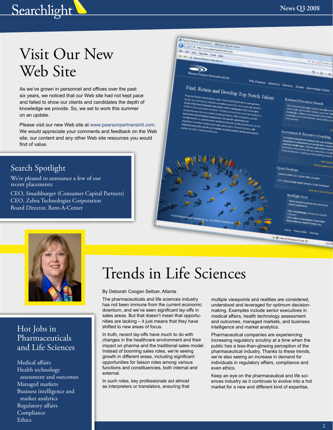

## Visit Our New Web Site

As we've grown in personnel and offices over the past six years, we noticed that our Web site had not kept pace and failed to show our clients and candidates the depth of knowledge we provide. So, we set to work this summer on an update.

Please visit our new Web site at www.pearsonpartnersintl.com. We would appreciate your comments and feedback on the Web site, our content and any other Web site resources you would find of value.





We're pleased to announce a few of our recent placements:

CEO, Smashburger (Consumer Capital Partners) CEO, Zebra Technologies Corporation Board Director, Rent-A-Center



### Hot Jobs in Pharmaceuticals and Life Sciences

Medical affairs Health technology assessment and outcomes Managed markets Business intelligence and market analytics Regulatory affairs Compliance Ethics

# Trends in Life Sciences

#### By Deborah Coogan Seltzer, Atlanta

The pharmaceuticals and life sciences industry has not been immune from the current economic downturn, and we've seen significant lay-offs in sales areas. But that doesn't mean that opportunities are lacking – it just means that they have shifted to new areas of focus.

In truth, recent lay-offs have much to do with changes in the healthcare environment and their impact on pharma and the traditional sales model. Instead of booming sales roles, we're seeing growth in different areas, including significant opportunities for liaison roles among various functions and constituencies, both internal and external.

In such roles, key professionals act almost as interpreters or translators, ensuring that multiple viewpoints and realities are considered, understood and leveraged for optimum decisionmaking. Examples include senior executives in medical affairs, health technology assessment and outcomes, managed markets, and business intelligence and market analytics.

Pharmaceutical companies are experiencing increasing regulatory scrutiny at a time when the public has a less-than-glowing perception of the pharmaceutical industry. Thanks to these trends, we're also seeing an increase in demand for individuals in regulatory affairs, compliance and even ethics.

Keep an eye on the pharmaceutical and life sciences industry as it continues to evolve into a hot market for a new and different kind of expertise.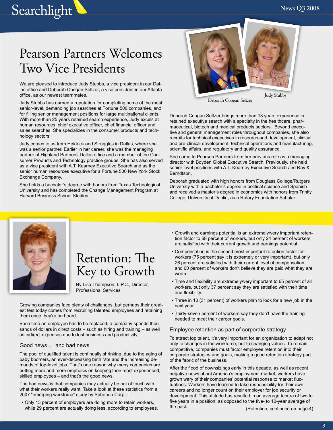

### Pearson Partners Welcomes Two Vice Presidents

We are pleased to introduce Judy Stubbs, a vice president in our Dallas office and Deborah Coogan Seltzer, a vice president in our Atlanta office, as our newest teammates.

Judy Stubbs has earned a reputation for completing some of the most senior-level, demanding job searches at Fortune 500 companies, and for filling senior management positions for large multinational clients. With more than 25 years retained search experience, Judy excels at human resources, chief executive officer, chief financial officer and sales searches. She specializes in the consumer products and technology sectors.

Judy comes to us from Heidrick and Struggles in Dallas, where she was a senior partner. Earlier in her career, she was the managing partner of Highland Partners' Dallas office and a member of the Consumer Products and Technology practice groups. She has also served as a vice president with A.T. Kearney Executive Search and as the senior human resources executive for a Fortune 500 New York Stock Exchange Company.

She holds a bachelor's degree with honors from Texas Technological University and has completed the Change Management Program at Harvard Business School Studies.



Deborah Coogan Seltzer

Deborah Coogan Seltzer brings more than 18 years experience in retained executive search with a specialty in the healthcare, pharmaceutical, biotech and medical products sectors. Beyond executive and general management roles throughout companies, she also recruits for technical executives in research and development, clinical and pre-clinical development, technical operations and manufacturing, scientific affairs, and regulatory and quality assurance.

She came to Pearson Partners from her previous role as a managing director with Boyden Global Executive Search. Previously, she held senior level positions with A.T. Kearney Executive Search and Ray & Berndtson.

Deborah graduated with high honors from Douglass College/Rutgers University with a bachelor's degree in political science and Spanish and received a master's degree in economics with honors from Trinity College, University of Dublin, as a Rotary Foundation Scholar.



### Retention: The Key to Growth

By Lisa Thompson, L.P.C., Director, Professional Services

Growing companies face plenty of challenges, but perhaps their greatest test today comes from recruiting talented employees and retaining them once they're on board.

Each time an employee has to be replaced, a company spends thousands of dollars in direct costs – such as hiring and training – as well as indirect expenses due to lost business and productivity.

#### Good news … and bad news

The pool of qualified talent is continually shrinking, due to the aging of baby boomers, an ever-decreasing birth rate and the increasing demands of top-level jobs. That's one reason why many companies are putting more and more emphasis on keeping their most experienced, skilled employees – and that's the good news.

The bad news is that companies may actually be out of touch with what their workers really want. Take a look at these statistics from a 2007 "emerging workforce" study by Spherion Corp.:

• Only 13 percent of employers are doing more to retain workers, while 29 percent are actually doing less, according to employees.

- Growth and earnings potential is an extremely/very important retention factor to 68 percent of workers, but only 24 percent of workers are satisfied with their current growth and earnings potential.
- Compensation is the second most important retention factor for workers (75 percent say it is extremely or very important), but only 26 percent are satisfied with their current level of compensation, and 60 percent of workers don't believe they are paid what they are worth.
- Time and flexibility are extremely/very important to 65 percent of all workers, but only 37 percent say they are satisfied with their time and flexibility.
- Three in 10 (31 percent) of workers plan to look for a new job in the next year.
- Thirty-seven percent of workers say they don't have the training needed to meet their career goals.

#### Employee retention as part of corporate strategy

To attract top talent, it's very important for an organization to adapt not only to changes in the workforce, but to changing values. To remain competitive, companies must factor employee retention into their corporate strategies and goals, making a good retention strategy part of the fabric of the business.

After the flood of downsizings early in this decade, as well as recent negative news about America's employment market, workers have grown wary of their companies' potential response to market fluctuations. Workers have learned to take responsibility for their own careers and no longer count on their employer for job security or development. This attitude has resulted in an average tenure of two to five years in a position, as opposed to the five- to 10-year average of the past.

(Retention, continued on page 4)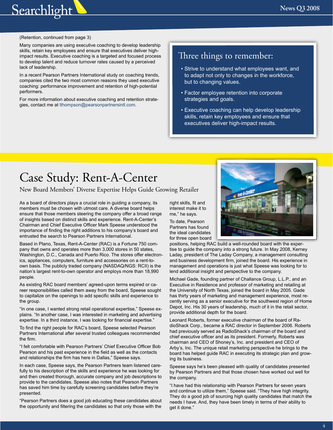

#### (Retention, continued from page 3)

Many companies are using executive coaching to develop leadership skills, retain key employees and ensure that executives deliver highimpact results. Executive coaching is a targeted and focused process to develop talent and reduce turnover rates caused by a perceived lack of leadership.

In a recent Pearson Partners International study on coaching trends, companies cited the two most common reasons they used executive coaching: performance improvement and retention of high-potential performers.

For more information about executive coaching and retention strategies, contact me at lthompson@pearsonpartnersintl.com.

### Three things to remember:

- Strive to understand what employees want, and to adapt not only to changes in the workforce, but to changing values.
- Factor employee retention into corporate strategies and goals.
- Executive coaching can help develop leadership skills, retain key employees and ensure that executives deliver high-impact results.

### Case Study: Rent-A-Center

New Board Members' Diverse Expertise Helps Guide Growing Retailer

As a board of directors plays a crucial role in guiding a company, its members must be chosen with utmost care. A diverse board helps ensure that those members steering the company offer a broad range of insights based on distinct skills and experience. Rent-A-Center's Chairman and Chief Executive Officer Mark Speese understood the importance of finding the right additions to his company's board and entrusted the search to Pearson Partners International.

Based in Plano, Texas, Rent-A-Center (RAC) is a Fortune 750 company that owns and operates more than 3,000 stores in 50 states, Washington, D.C., Canada and Puerto Rico. The stores offer electronics, appliances, computers, furniture and accessories on a rent-toown basis. The publicly traded company (NASDAQ/NGS: RCII) is the nation's largest rent-to-own operator and employs more than 18,990 people.

As existing RAC board members' agreed-upon terms expired or career responsibilities called them away from the board, Speese sought to capitalize on the openings to add specific skills and experience to the group.

"In one case, I wanted strong retail operational expertise," Speese explains. "In another case, I was interested in marketing and advertising expertise. In a third instance, I was looking for financial expertise."

To find the right people for RAC's board, Speese selected Pearson Partners International after several trusted colleagues recommended the firm.

"I felt comfortable with Pearson Partners' Chief Executive Officer Bob Pearson and his past experience in the field as well as the contacts and relationships the firm has here in Dallas," Speese says.

In each case, Speese says, the Pearson Partners team listened carefully to his description of the skills and experience he was looking for and then created thorough, accurate company and job descriptions to provide to the candidates. Speese also notes that Pearson Partners has saved him time by carefully screening candidates before they're presented.

"Pearson Partners does a good job educating these candidates about the opportunity and filtering the candidates so that only those with the

right skills, fit and interest make it to me," he says.

To date, Pearson Partners has found the ideal candidates for three open board

positions, helping RAC build a well-rounded board with the expertise to guide the company into a strong future. In May 2008, Kerney Laday, president of The Laday Company, a management consulting and business development firm, joined the board. His experience in management and operations is just what Speese was looking for to lend additional insight and perspective to the company.

Michael Gade, founding partner of Challance Group, L.L.P., and an Executive in Residence and professor of marketing and retailing at the University of North Texas, joined the board in May 2005. Gade has thirty years of marketing and management experience, most recently serving as a senior executive for the southwest region of Home Depot, Inc. His 30 years of leadership, much of it in the retail sector, provide additional depth for the board.

Leonard Roberts, former executive chairman of the board of RadioShack Corp., became a RAC director in September 2006. Roberts had previously served as RadioShack's chairman of the board and chief executive officer and as its president. Formerly, Roberts was chairman and CEO of Shoney's, Inc. and president and CEO of Arby's, Inc. The unique retail marketing perspective he brings to the board has helped guide RAC in executing its strategic plan and growing its business.

Speese says he's been pleased with quality of candidates presented by Pearson Partners and that those chosen have worked out well for the company.

"I have had this relationship with Pearson Partners for seven years and continue to utilize them," Speese said. "They have high integrity. They do a good job of sourcing high quality candidates that match the needs I have. And, they have been timely in terms of their ability to get it done."

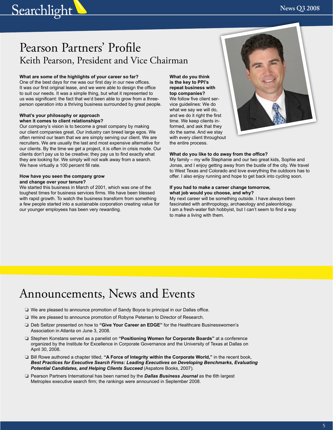

### Pearson Partners' Profile Keith Pearson, President and Vice Chairman

#### **What are some of the highlights of your career so far?**

One of the best days for me was our first day in our new offices. It was our first original lease, and we were able to design the office to suit our needs. It was a simple thing, but what it represented to us was significant: the fact that we'd been able to grow from a threeperson operation into a thriving business surrounded by great people.

#### **What's your philosophy or approach when it comes to client relationships?**

Our company's vision is to become a great company by making our client companies great. Our industry can breed large egos. We often remind our team that we are simply serving our client. We are recruiters. We are usually the last and most expensive alternative for our clients. By the time we get a project, it is often in crisis mode. Our clients don't pay us to be creative; they pay us to find exactly what they are looking for. We simply will not walk away from a search. We have virtually a 100 percent fill rate.

#### **How have you seen the company grow and change over your tenure?**

We started this business in March of 2001, which was one of the toughest times for business services firms. We have been blessed with rapid growth. To watch the business transform from something a few people started into a sustainable corporation creating value for our younger employees has been very rewarding.

**What do you think is the key to PPI's repeat business with top companies?** We follow five client service guidelines: We do what we say we will do, and we do it right the first time. We keep clients informed, and ask that they do the same. And we stay with every client throughout the entire process.



#### **What do you like to do away from the office?**

My family – my wife Stephanie and our two great kids, Sophie and Jonas, and I enjoy getting away from the bustle of the city. We travel to West Texas and Colorado and love everything the outdoors has to offer. I also enjoy running and hope to get back into cycling soon.

#### **If you had to make a career change tomorrow, what job would you choose, and why?**

My next career will be something outside. I have always been fascinated with anthropology, archaeology and paleontology. I am a fresh-water fish hobbyist, but I can't seem to find a way to make a living with them.

### Announcements, News and Events

- ❏ We are pleased to announce promotion of Sandy Boyce to principal in our Dallas office.
- ❏ We are pleased to announce promotion of Robyne Petersen to Director of Research.
- ❏ Deb Seltzer presented on how to **"Give Your Career an EDGE"** for the Healthcare Businesswomen's Association in Atlanta on June 3, 2008.
- ❏ Stephen Konstans served as a panelist on **"Positioning Women for Corporate Boards"** at a conference organized by the Institute for Excellence in Corporate Governance and the University of Texas at Dallas on April 30, 2008.
- ❏ Bill Rowe authored a chapter titled, **"A Force of Integrity within the Corporate World,"** in the recent book, *Best Practices for Executive Search Firms: Leading Executives on Developing Benchmarks, Evaluating Potential Candidates, and Helping Clients Succeed* (Aspatore Books, 2007).
- ❏ Pearson Partners International has been named by the *Dallas Business Journal* as the 6th largest Metroplex executive search firm; the rankings were announced in September 2008.